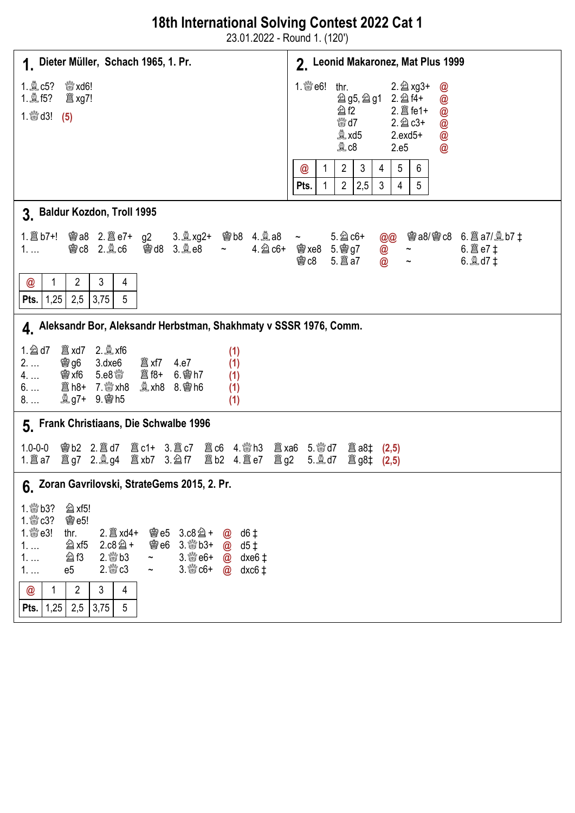## 18th International Solving Contest 2022 Cat 1

23.01.2022 - Round 1. (120')

| 1. Dieter Müller, Schach 1965, 1. Pr.                                                                                                                                                                                                                                                                                                                                                                                                                                                                  | 2. Leonid Makaronez, Mat Plus 1999                                                                                                                                                                           |
|--------------------------------------------------------------------------------------------------------------------------------------------------------------------------------------------------------------------------------------------------------------------------------------------------------------------------------------------------------------------------------------------------------------------------------------------------------------------------------------------------------|--------------------------------------------------------------------------------------------------------------------------------------------------------------------------------------------------------------|
| <sup>ଞୁଞ</sup> xd6!<br>1. 凰 c5?<br>1. $\frac{600}{600}$ d3! (5)                                                                                                                                                                                                                                                                                                                                                                                                                                        | 1. $\mathbb{S}$ e6! thr.<br>2. 2 xg3+<br>$\bm{\varpi}$<br><b>②g5, ②g1 2. ②f4+</b><br>@<br><b>公f2</b><br>@<br><sup>ଖାନ</sup> d7<br>$2.\n  2$ $c3+$<br>@<br>$Q$ xd5<br>$2.exd5+$<br>@<br>$Q$ $C8$<br>2.e5<br>@ |
|                                                                                                                                                                                                                                                                                                                                                                                                                                                                                                        | $\overline{2}$<br>3<br>5<br>6<br>4<br>1<br>$\bm{\mathsf{\textcircled{\it c}}}$<br>$2^{\circ}$<br>2,5<br>3<br>5<br>1<br>$\overline{4}$<br>Pts.                                                                |
| 3. Baldur Kozdon, Troll 1995                                                                                                                                                                                                                                                                                                                                                                                                                                                                           |                                                                                                                                                                                                              |
| <b>彎c8 2. of 雪d8 3. olde8</b><br>$1. \ldots$                                                                                                                                                                                                                                                                                                                                                                                                                                                           | @@ 窗a8/窗c8 6. 2a7/ @b7 ‡<br>4. @ c6+ ● xe8 5. ● g7<br>$6. 28$ e7 ‡<br>$\circledcirc$<br>$\thicksim$<br>$\sim$<br><b>曾c8</b><br>@<br>6. $Q$ d7 $\pm$                                                          |
| 3<br>1<br>$\overline{2}$<br>4<br>@<br><b>Pts.</b>   $1,25$<br>2,5<br>3,75<br>$5\phantom{.0}$                                                                                                                                                                                                                                                                                                                                                                                                           |                                                                                                                                                                                                              |
| 4. Aleksandr Bor, Aleksandr Herbstman, Shakhmaty v SSSR 1976, Comm.                                                                                                                                                                                                                                                                                                                                                                                                                                    |                                                                                                                                                                                                              |
| $1.$ 2 d7<br>(1)<br>$2. \ldots$<br>(1)<br><b>曾xf6 5.e8</b> \$<br><b>闔f8+ 6. 粵h7</b><br>4.<br>(1)<br><b>奧 xh8 8. 轡 h6</b><br>$6. \ldots$<br>(1)<br><b>奧g7+ 9. 慘h5</b><br>(1)<br>$8. \dots$                                                                                                                                                                                                                                                                                                              |                                                                                                                                                                                                              |
| 5. Frank Christiaans, Die Schwalbe 1996                                                                                                                                                                                                                                                                                                                                                                                                                                                                |                                                                                                                                                                                                              |
| 窗b2 2. 圖d7 圖c1+ 3. 圖c7 圖c6 4. 彎h3 圖xa6 5. 彎d7 圖a8‡ (2,5)<br>$1.0 - 0 - 0$                                                                                                                                                                                                                                                                                                                                                                                                                              | <b> 3 g8‡ (2,5)</b>                                                                                                                                                                                          |
| 6. Zoran Gavrilovski, StrateGems 2015, 2. Pr.                                                                                                                                                                                                                                                                                                                                                                                                                                                          |                                                                                                                                                                                                              |
| 1. 50 b3? 2 xf5!<br>1. $\mathbb{S}$ c3?<br><b>魯e5!</b><br>1. $\mathbb{S}$ e3!<br>2. axd4+ 窗e5 3.c8 a+ @ d6 t<br>thr.<br><b>@e6 3. @b3+ @d5 ‡</b><br>△ xf5<br>$2.c8@+$<br>1.<br>$2.$ $\frac{800}{200}$ b 3<br>3. streep $\omega$ dxe6 $\pm$<br><b>公f3</b><br>$1. \ldots$<br>$\sim$ $ -$<br>$2.$ $\frac{600}{60}$ $c3$<br>$3.800 + 200$ dxc6 ‡<br>e5<br>1.<br>$\sim$ $ -$<br>$\overline{2}$<br>@<br>3 <sup>1</sup><br>$\mathbf{1}$<br>$\overline{4}$<br>2,5<br> 1,25 <br>3,75<br>$5\phantom{.0}$<br>Pts. |                                                                                                                                                                                                              |